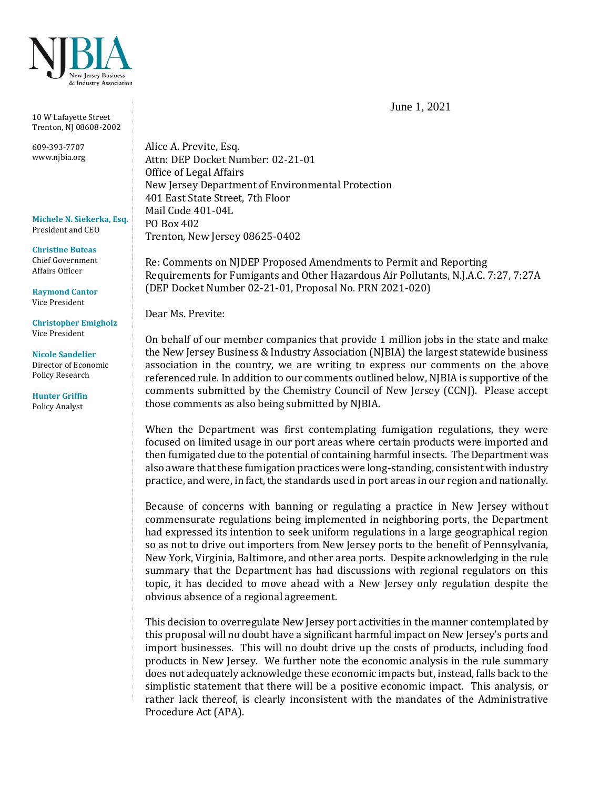

10 W Lafayette Street Trenton, NJ 08608-2002

609-393-7707 www.njbia.org

**Michele N. Siekerka, Esq.** President and CEO

**Christine Buteas** Chief Government Affairs Officer

**Raymond Cantor** Vice President

**Christopher Emigholz** Vice President

**Nicole Sandelier** Director of Economic Policy Research

**Hunter Griffin** Policy Analyst

Alice A. Previte, Esq. Attn: DEP Docket Number: 02-21-01 Office of Legal Affairs New Jersey Department of Environmental Protection 401 East State Street, 7th Floor Mail Code 401-04L PO Box 402 Trenton, New Jersey 08625-0402

Re: Comments on NJDEP Proposed Amendments to Permit and Reporting Requirements for Fumigants and Other Hazardous Air Pollutants, N.J.A.C. 7:27, 7:27A (DEP Docket Number 02-21-01, Proposal No. PRN 2021-020)

Dear Ms. Previte:

On behalf of our member companies that provide 1 million jobs in the state and make the New Jersey Business & Industry Association (NJBIA) the largest statewide business association in the country, we are writing to express our comments on the above referenced rule. In addition to our comments outlined below, NJBIA is supportive of the comments submitted by the Chemistry Council of New Jersey (CCNJ). Please accept those comments as also being submitted by NJBIA.

When the Department was first contemplating fumigation regulations, they were focused on limited usage in our port areas where certain products were imported and then fumigated due to the potential of containing harmful insects. The Department was also aware that these fumigation practices were long-standing, consistent with industry practice, and were, in fact, the standards used in port areas in our region and nationally.

Because of concerns with banning or regulating a practice in New Jersey without commensurate regulations being implemented in neighboring ports, the Department had expressed its intention to seek uniform regulations in a large geographical region so as not to drive out importers from New Jersey ports to the benefit of Pennsylvania, New York, Virginia, Baltimore, and other area ports. Despite acknowledging in the rule summary that the Department has had discussions with regional regulators on this topic, it has decided to move ahead with a New Jersey only regulation despite the obvious absence of a regional agreement.

This decision to overregulate New Jersey port activities in the manner contemplated by this proposal will no doubt have a significant harmful impact on New Jersey's ports and import businesses. This will no doubt drive up the costs of products, including food products in New Jersey. We further note the economic analysis in the rule summary does not adequately acknowledge these economic impacts but, instead, falls back to the simplistic statement that there will be a positive economic impact. This analysis, or rather lack thereof, is clearly inconsistent with the mandates of the Administrative Procedure Act (APA).

June 1, 2021